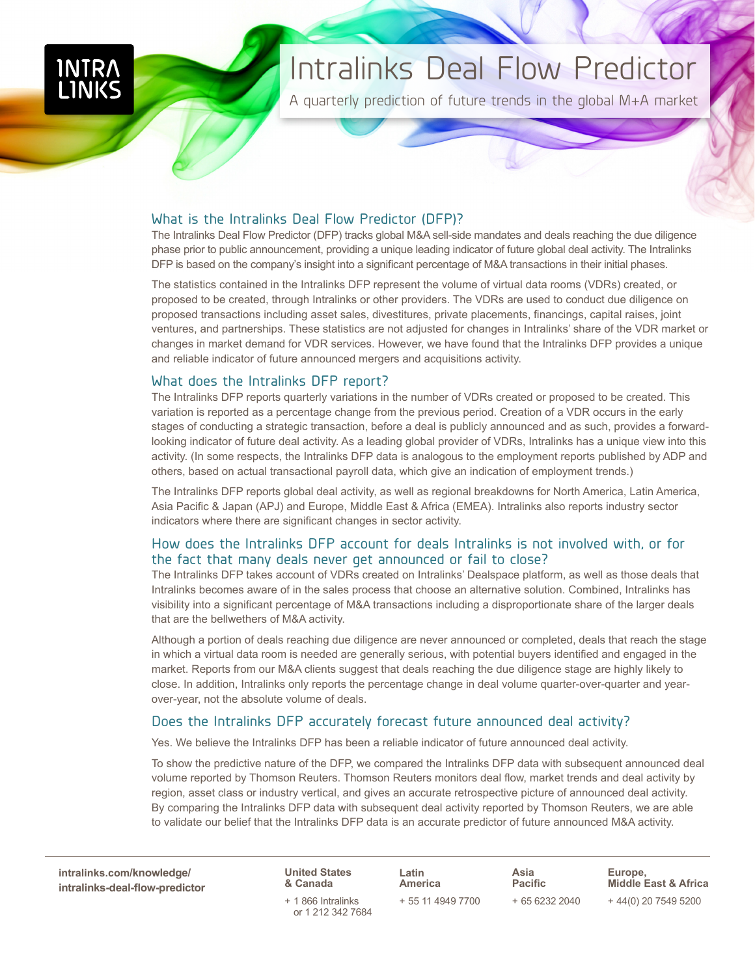# Intralinks Deal Flow Predictor

A quarterly prediction of future trends in the global M+A market

### What is the Intralinks Deal Flow Predictor (DFP)?

The Intralinks Deal Flow Predictor (DFP) tracks global M&A sell-side mandates and deals reaching the due diligence phase prior to public announcement, providing a unique leading indicator of future global deal activity. The Intralinks DFP is based on the company's insight into a significant percentage of M&A transactions in their initial phases.

The statistics contained in the Intralinks DFP represent the volume of virtual data rooms (VDRs) created, or proposed to be created, through Intralinks or other providers. The VDRs are used to conduct due diligence on proposed transactions including asset sales, divestitures, private placements, financings, capital raises, joint ventures, and partnerships. These statistics are not adjusted for changes in Intralinks' share of the VDR market or changes in market demand for VDR services. However, we have found that the Intralinks DFP provides a unique and reliable indicator of future announced mergers and acquisitions activity.

#### What does the Intralinks DFP report?

The Intralinks DFP reports quarterly variations in the number of VDRs created or proposed to be created. This variation is reported as a percentage change from the previous period. Creation of a VDR occurs in the early stages of conducting a strategic transaction, before a deal is publicly announced and as such, provides a forwardlooking indicator of future deal activity. As a leading global provider of VDRs, Intralinks has a unique view into this activity. (In some respects, the Intralinks DFP data is analogous to the employment reports published by ADP and others, based on actual transactional payroll data, which give an indication of employment trends.)

The Intralinks DFP reports global deal activity, as well as regional breakdowns for North America, Latin America, Asia Pacific & Japan (APJ) and Europe, Middle East & Africa (EMEA). Intralinks also reports industry sector indicators where there are significant changes in sector activity.

# How does the Intralinks DFP account for deals Intralinks is not involved with, or for the fact that many deals never get announced or fail to close?

The Intralinks DFP takes account of VDRs created on Intralinks' Dealspace platform, as well as those deals that Intralinks becomes aware of in the sales process that choose an alternative solution. Combined, Intralinks has visibility into a significant percentage of M&A transactions including a disproportionate share of the larger deals that are the bellwethers of M&A activity.

Although a portion of deals reaching due diligence are never announced or completed, deals that reach the stage in which a virtual data room is needed are generally serious, with potential buyers identified and engaged in the market. Reports from our M&A clients suggest that deals reaching the due diligence stage are highly likely to close. In addition, Intralinks only reports the percentage change in deal volume quarter-over-quarter and yearover-year, not the absolute volume of deals.

# Does the Intralinks DFP accurately forecast future announced deal activity?

Yes. We believe the Intralinks DFP has been a reliable indicator of future announced deal activity.

To show the predictive nature of the DFP, we compared the Intralinks DFP data with subsequent announced deal volume reported by Thomson Reuters. Thomson Reuters monitors deal flow, market trends and deal activity by region, asset class or industry vertical, and gives an accurate retrospective picture of announced deal activity. By comparing the Intralinks DFP data with subsequent deal activity reported by Thomson Reuters, we are able to validate our belief that the Intralinks DFP data is an accurate predictor of future announced M&A activity.

**intralinks.com/knowledge/ [intralinks-deal-flow-predictor](http://www.intralinks.com/knowledge/intralinks-deal-flow-indicator)**

**United States & Canada** + 1 866 Intralinks

or 1 212 342 7684

**Latin America** + 55 11 4949 7700 **Asia Pacific** + 65 6232 2040

**Europe, Middle East & Africa** + 44(0) 20 7549 5200